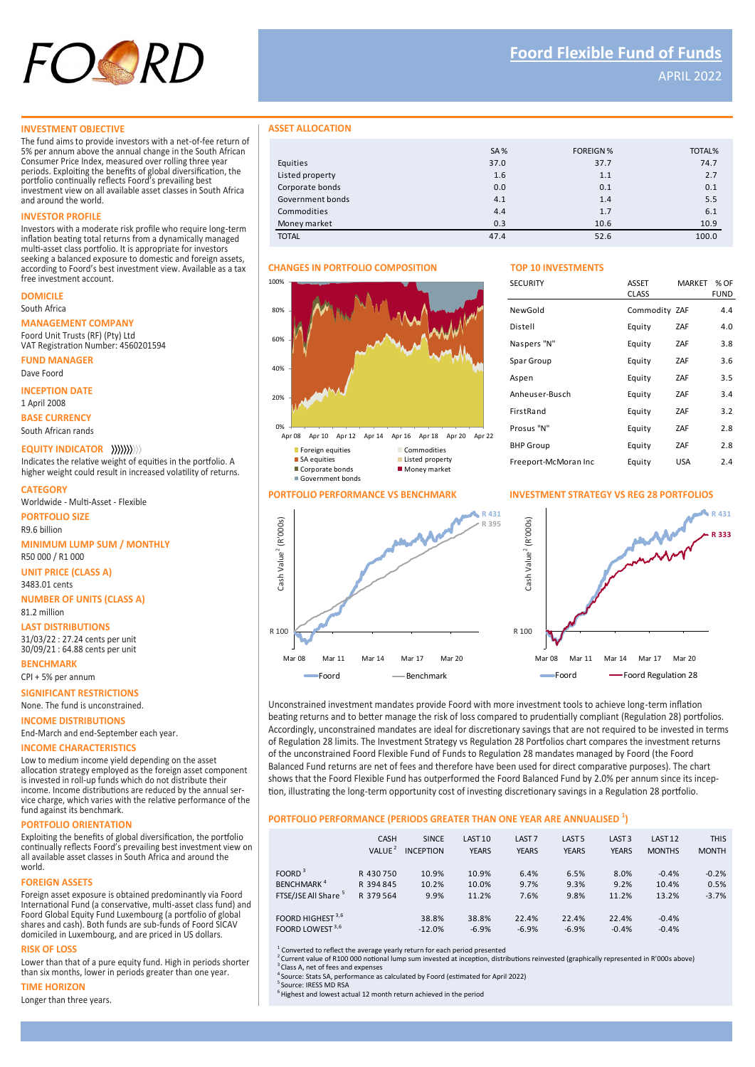

APRIL 2022

#### **INVESTMENT OBJECTIVE**

The fund aims to provide investors with a net-of-fee return of 5% per annum above the annual change in the South African Consumer Price Index, measured over rolling three year periods. Exploiting the benefits of global diversification, the portfolio continually reflects Foord's prevailing best investment view on all available asset classes in South Africa and around the world.

### **INVESTOR PROFILE**

Investors with a moderate risk profile who require long-term inflation beating total returns from a dynamically managed multi-asset class portfolio. It is appropriate for investors seeking a balanced exposure to domestic and foreign assets, according to Foord's best investment view. Available as a tax free investment account.

# **DOMICILE**

South Africa

#### **MANAGEMENT COMPANY**

Foord Unit Trusts (RF) (Pty) Ltd VAT Registration Number: 4560201594

**FUND MANAGER**

Dave Foord

# **INCEPTION DATE**

1 April 2008

**BASE CURRENCY** South African rands

### **EQUITY INDICATOR**

Indicates the relative weight of equities in the portfolio. A higher weight could result in increased volatility of returns.

### **CATEGORY**

Worldwide - Multi-Asset - Flexible

#### **PORTFOLIO SIZE**

**MINIMUM LUMP SUM / MONTHLY** R9.6 billion

R50 000 / R1 000

**UNIT PRICE (CLASS A)** 3483.01 cents

**NUMBER OF UNITS (CLASS A)**

# **LAST DISTRIBUTIONS** 81.2 million

31/03/22 : 27.24 cents per unit 30/09/21 : 64.88 cents per unit

**BENCHMARK** CPI + 5% per annum

**SIGNIFICANT RESTRICTIONS** None. The fund is unconstrained.

**INCOME DISTRIBUTIONS**

End-March and end-September each year.

# **INCOME CHARACTERISTICS**

Low to medium income yield depending on the asset allocation strategy employed as the foreign asset component is invested in roll-up funds which do not distribute their income. Income distributions are reduced by the annual service charge, which varies with the relative performance of the fund against its benchmark.

#### **PORTFOLIO ORIENTATION**

Exploiting the benefits of global diversification, the portfolio continually reflects Foord's prevailing best investment view on all available asset classes in South Africa and around the world.

#### **FOREIGN ASSETS**

Foreign asset exposure is obtained predominantly via Foord International Fund (a conservative, multi-asset class fund) and Foord Global Equity Fund Luxembourg (a portfolio of global shares and cash). Both funds are sub-funds of Foord SICAV domiciled in Luxembourg, and are priced in US dollars.

# **RISK OF LOSS**

Lower than that of a pure equity fund. High in periods shorter than six months, lower in periods greater than one year.

#### **TIME HORIZON**

Longer than three years.

#### **ASSET ALLOCATION**

|                  | <b>SA%</b> | <b>FOREIGN %</b> | TOTAL% |
|------------------|------------|------------------|--------|
| Equities         | 37.0       | 37.7             | 74.7   |
| Listed property  | 1.6        | 1.1              | 2.7    |
| Corporate bonds  | 0.0        | 0.1              | 0.1    |
| Government bonds | 4.1        | 1.4              | 5.5    |
| Commodities      | 4.4        | 1.7              | 6.1    |
| Money market     | 0.3        | 10.6             | 10.9   |
| <b>TOTAL</b>     | 47.4       | 52.6             | 100.0  |

## **CHANGES IN PORTFOLIO COMPOSITION TOP 10 INVESTMENTS**

# 0% 20% 40% 60% 80% 100% Apr 08 Apr 10 Apr 12 Apr 14 Apr 16 Apr 18 Apr 20 Apr 22





| <b>SECURITY</b>      | <b>ASSET</b><br><b>CLASS</b> | <b>MARKET</b> | $%$ OF<br>FUND |
|----------------------|------------------------------|---------------|----------------|
| NewGold              | Commodity ZAF                |               | 4.4            |
| Distell              | Equity                       | ZAF           | 4.0            |
| Naspers "N"          | Equity                       | ZAF           | 3.8            |
| Spar Group           | Equity                       | <b>ZAF</b>    | 3.6            |
| Aspen                | Equity                       | <b>ZAF</b>    | 3.5            |
| Anheuser-Busch       | Equity                       | ZAF           | 3.4            |
| FirstRand            | Equity                       | <b>ZAF</b>    | 3.2            |
| Prosus "N"           | Equity                       | <b>ZAF</b>    | 2.8            |
| <b>BHP Group</b>     | Equity                       | ZAF           | 2.8            |
| Freeport-McMoran Inc | Equity                       | USA           | 2.4            |

# **PORTFOLIO PERFORMANCE VS BENCHMARK INVESTMENT STRATEGY VS REG 28 PORTFOLIOS**



Unconstrained investment mandates provide Foord with more investment tools to achieve long-term inflation beating returns and to better manage the risk of loss compared to prudentially compliant (Regulation 28) portfolios. Accordingly, unconstrained mandates are ideal for discretionary savings that are not required to be invested in terms of Regulation 28 limits. The Investment Strategy vs Regulation 28 Portfolios chart compares the investment returns of the unconstrained Foord Flexible Fund of Funds to Regulation 28 mandates managed by Foord (the Foord Balanced Fund returns are net of fees and therefore have been used for direct comparative purposes). The chart shows that the Foord Flexible Fund has outperformed the Foord Balanced Fund by 2.0% per annum since its inception, illustrating the long-term opportunity cost of investing discretionary savings in a Regulation 28 portfolio.

# **PORTFOLIO PERFORMANCE (PERIODS GREATER THAN ONE YEAR ARE ANNUALISED <sup>1</sup> )**

|                                 | <b>CASH</b><br>VALUE <sup>2</sup> | <b>SINCE</b><br><b>INCEPTION</b> | LAST <sub>10</sub><br><b>YEARS</b> | LAST <sub>7</sub><br><b>YEARS</b> | LAST <sub>5</sub><br><b>YEARS</b> | LAST <sub>3</sub><br><b>YEARS</b> | LAST <sub>12</sub><br><b>MONTHS</b> | <b>THIS</b><br><b>MONTH</b> |
|---------------------------------|-----------------------------------|----------------------------------|------------------------------------|-----------------------------------|-----------------------------------|-----------------------------------|-------------------------------------|-----------------------------|
| FOORD <sup>3</sup>              | R 430 750                         | 10.9%                            | 10.9%                              | 6.4%                              | 6.5%                              | 8.0%                              | $-0.4%$                             | $-0.2%$                     |
| <b>BENCHMARK<sup>4</sup></b>    | R 394 845                         | 10.2%                            | 10.0%                              | 9.7%                              | 9.3%                              | 9.2%                              | 10.4%                               | 0.5%                        |
| FTSE/JSE All Share <sup>5</sup> | R 379 564                         | 9.9%                             | 11.2%                              | 7.6%                              | 9.8%                              | 11.2%                             | 13.2%                               | $-3.7%$                     |
| FOORD HIGHEST <sup>3,6</sup>    |                                   | 38.8%                            | 38.8%                              | 22.4%                             | 22.4%                             | 22.4%                             | $-0.4%$                             |                             |
| FOORD LOWEST 3,6                |                                   | $-12.0%$                         | $-6.9%$                            | $-6.9%$                           | $-6.9%$                           | $-0.4%$                           | $-0.4%$                             |                             |

<sup>1</sup> Converted to reflect the average yearly return for each period presented

<sup>2</sup>Current value of R100 000 notional lump sum invested at inception, distributions reinvested (graphically represented in R'000s above) <sup>3</sup> Class A, net of fees and expenses

<sup>1</sup>Source: Stats SA, performance as calculated by Foord (estimated for April 2022)

Source: IRESS MD RSA

 $\frac{1}{2}$ Highest and lowest actual 12 month return achieved in the period